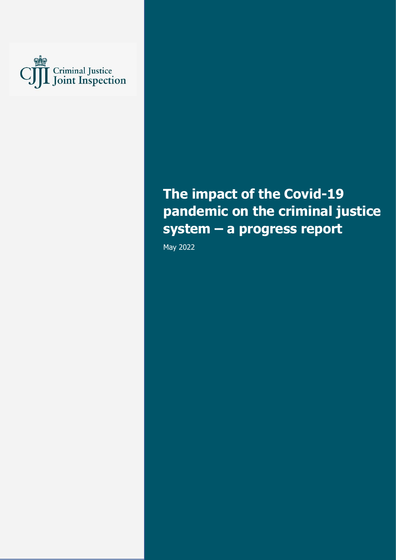

# **The impact of the Covid-19 pandemic on the criminal justice system – a progress report**

May 2022

The impact of the Covid-19 pandemic on the criminal justice system – a progress report 1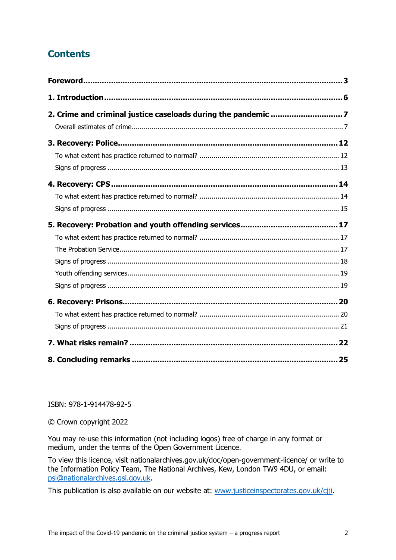# **Contents**

ISBN: 978-1-914478-92-5

© Crown copyright 2022

You may re-use this information (not including logos) free of charge in any format or medium, under the terms of the Open Government Licence.

To view this licence, visit nationalarchives.gov.uk/doc/open-government-licence/ or write to the Information Policy Team, The National Archives, Kew, London TW9 4DU, or email: [psi@nationalarchives.gsi.gov.uk.](mailto:psi@nationalarchives.gsi.gov.uk)

This publication is also available on our website at: [www.justiceinspectorates.gov.uk/cjji.](http://www.justiceinspectorates.gov.uk/cjji)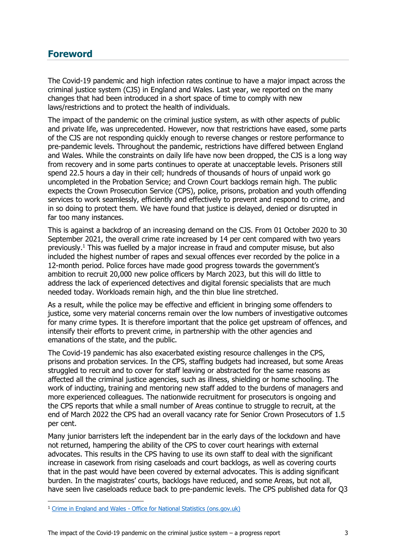### <span id="page-2-0"></span>**Foreword**

The Covid-19 pandemic and high infection rates continue to have a major impact across the criminal justice system (CJS) in England and Wales. Last year, we reported on the many changes that had been introduced in a short space of time to comply with new laws/restrictions and to protect the health of individuals.

The impact of the pandemic on the criminal justice system, as with other aspects of public and private life, was unprecedented. However, now that restrictions have eased, some parts of the CJS are not responding quickly enough to reverse changes or restore performance to pre-pandemic levels. Throughout the pandemic, restrictions have differed between England and Wales. While the constraints on daily life have now been dropped, the CJS is a long way from recovery and in some parts continues to operate at unacceptable levels. Prisoners still spend 22.5 hours a day in their cell; hundreds of thousands of hours of unpaid work go uncompleted in the Probation Service; and Crown Court backlogs remain high. The public expects the Crown Prosecution Service (CPS), police, prisons, probation and youth offending services to work seamlessly, efficiently and effectively to prevent and respond to crime, and in so doing to protect them. We have found that justice is delayed, denied or disrupted in far too many instances.

This is against a backdrop of an increasing demand on the CJS. From 01 October 2020 to 30 September 2021, the overall crime rate increased by 14 per cent compared with two years previously. <sup>1</sup> This was fuelled by a major increase in fraud and computer misuse, but also included the highest number of rapes and sexual offences ever recorded by the police in a 12-month period. Police forces have made good progress towards the government's ambition to recruit 20,000 new police officers by March 2023, but this will do little to address the lack of experienced detectives and digital forensic specialists that are much needed today. Workloads remain high, and the thin blue line stretched.

As a result, while the police may be effective and efficient in bringing some offenders to justice, some very material concerns remain over the low numbers of investigative outcomes for many crime types. It is therefore important that the police get upstream of offences, and intensify their efforts to prevent crime, in partnership with the other agencies and emanations of the state, and the public.

The Covid-19 pandemic has also exacerbated existing resource challenges in the CPS, prisons and probation services. In the CPS, staffing budgets had increased, but some Areas struggled to recruit and to cover for staff leaving or abstracted for the same reasons as affected all the criminal justice agencies, such as illness, shielding or home schooling. The work of inducting, training and mentoring new staff added to the burdens of managers and more experienced colleagues. The nationwide recruitment for prosecutors is ongoing and the CPS reports that while a small number of Areas continue to struggle to recruit, at the end of March 2022 the CPS had an overall vacancy rate for Senior Crown Prosecutors of 1.5 per cent.

Many junior barristers left the independent bar in the early days of the lockdown and have not returned, hampering the ability of the CPS to cover court hearings with external advocates. This results in the CPS having to use its own staff to deal with the significant increase in casework from rising caseloads and court backlogs, as well as covering courts that in the past would have been covered by external advocates. This is adding significant burden. In the magistrates' courts, backlogs have reduced, and some Areas, but not all, have seen live caseloads reduce back to pre-pandemic levels. The CPS published data for Q3

<sup>1</sup> Crime in England and Wales - [Office for National Statistics \(ons.gov.uk\)](https://www.ons.gov.uk/peoplepopulationandcommunity/crimeandjustice/bulletins/crimeinenglandandwales/yearendingseptember2021)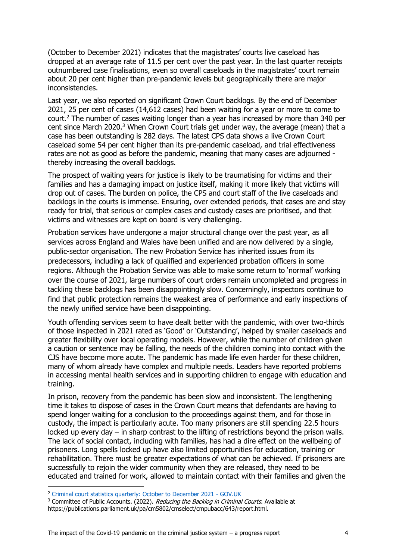(October to December 2021) indicates that the magistrates' courts live caseload has dropped at an average rate of 11.5 per cent over the past year. In the last quarter receipts outnumbered case finalisations, even so overall caseloads in the magistrates' court remain about 20 per cent higher than pre-pandemic levels but geographically there are major inconsistencies.

Last year, we also reported on significant Crown Court backlogs. By the end of December 2021, 25 per cent of cases (14,612 cases) had been waiting for a year or more to come to court. <sup>2</sup> The number of cases waiting longer than a year has increased by more than 340 per cent since March 2020. <sup>3</sup> When Crown Court trials get under way, the average (mean) that a case has been outstanding is 282 days. The latest CPS data shows a live Crown Court caseload some 54 per cent higher than its pre-pandemic caseload, and trial effectiveness rates are not as good as before the pandemic, meaning that many cases are adjourned thereby increasing the overall backlogs.

The prospect of waiting years for justice is likely to be traumatising for victims and their families and has a damaging impact on justice itself, making it more likely that victims will drop out of cases. The burden on police, the CPS and court staff of the live caseloads and backlogs in the courts is immense. Ensuring, over extended periods, that cases are and stay ready for trial, that serious or complex cases and custody cases are prioritised, and that victims and witnesses are kept on board is very challenging.

Probation services have undergone a major structural change over the past year, as all services across England and Wales have been unified and are now delivered by a single, public-sector organisation. The new Probation Service has inherited issues from its predecessors, including a lack of qualified and experienced probation officers in some regions. Although the Probation Service was able to make some return to 'normal' working over the course of 2021, large numbers of court orders remain uncompleted and progress in tackling these backlogs has been disappointingly slow. Concerningly, inspectors continue to find that public protection remains the weakest area of performance and early inspections of the newly unified service have been disappointing.

Youth offending services seem to have dealt better with the pandemic, with over two-thirds of those inspected in 2021 rated as 'Good' or 'Outstanding', helped by smaller caseloads and greater flexibility over local operating models. However, while the number of children given a caution or sentence may be falling, the needs of the children coming into contact with the CJS have become more acute. The pandemic has made life even harder for these children, many of whom already have complex and multiple needs. Leaders have reported problems in accessing mental health services and in supporting children to engage with education and training.

In prison, recovery from the pandemic has been slow and inconsistent. The lengthening time it takes to dispose of cases in the Crown Court means that defendants are having to spend longer waiting for a conclusion to the proceedings against them, and for those in custody, the impact is particularly acute. Too many prisoners are still spending 22.5 hours locked up every day – in sharp contrast to the lifting of restrictions beyond the prison walls. The lack of social contact, including with families, has had a dire effect on the wellbeing of prisoners. Long spells locked up have also limited opportunities for education, training or rehabilitation. There must be greater expectations of what can be achieved. If prisoners are successfully to rejoin the wider community when they are released, they need to be educated and trained for work, allowed to maintain contact with their families and given the

<sup>&</sup>lt;sup>2</sup> [Criminal court statistics quarterly: October to December 2021 -](file:///C:/Users/hedavies/OneDrive%20-%20Ministry%20of%20Justice/Documents/Thematics/CJIG/State%20of%20the%20Nation/2021-22/Draft/Working%20draft/MoJ%20data%20update/Criminal%20court%20statistics%20quarterly_%20October%20to%20December%202021%20-%20GOV.UK.html) GOV.UK

<sup>&</sup>lt;sup>3</sup> Committee of Public Accounts. (2022). Reducing the Backlog in Criminal Courts. Available at https://publications.parliament.uk/pa/cm5802/cmselect/cmpubacc/643/report.html.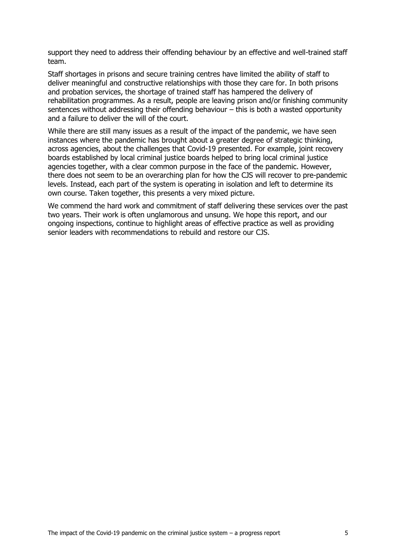support they need to address their offending behaviour by an effective and well-trained staff team.

Staff shortages in prisons and secure training centres have limited the ability of staff to deliver meaningful and constructive relationships with those they care for. In both prisons and probation services, the shortage of trained staff has hampered the delivery of rehabilitation programmes. As a result, people are leaving prison and/or finishing community sentences without addressing their offending behaviour – this is both a wasted opportunity and a failure to deliver the will of the court.

While there are still many issues as a result of the impact of the pandemic, we have seen instances where the pandemic has brought about a greater degree of strategic thinking, across agencies, about the challenges that Covid-19 presented. For example, joint recovery boards established by local criminal justice boards helped to bring local criminal justice agencies together, with a clear common purpose in the face of the pandemic. However, there does not seem to be an overarching plan for how the CJS will recover to pre-pandemic levels. Instead, each part of the system is operating in isolation and left to determine its own course. Taken together, this presents a very mixed picture.

We commend the hard work and commitment of staff delivering these services over the past two years. Their work is often unglamorous and unsung. We hope this report, and our ongoing inspections, continue to highlight areas of effective practice as well as providing senior leaders with recommendations to rebuild and restore our CJS.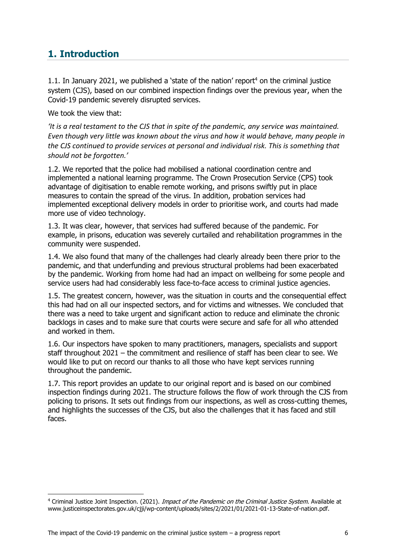# <span id="page-5-0"></span>**1. Introduction**

1.1. In January 2021, we published a 'state of the nation' report<sup>4</sup> on the criminal justice system (CJS), based on our combined inspection findings over the previous year, when the Covid-19 pandemic severely disrupted services.

We took the view that:

*'It is a real testament to the CJS that in spite of the pandemic, any service was maintained. Even though very little was known about the virus and how it would behave, many people in the CJS continued to provide services at personal and individual risk. This is something that should not be forgotten.'*

1.2. We reported that the police had mobilised a national coordination centre and implemented a national learning programme. The Crown Prosecution Service (CPS) took advantage of digitisation to enable remote working, and prisons swiftly put in place measures to contain the spread of the virus. In addition, probation services had implemented exceptional delivery models in order to prioritise work, and courts had made more use of video technology.

1.3. It was clear, however, that services had suffered because of the pandemic. For example, in prisons, education was severely curtailed and rehabilitation programmes in the community were suspended.

1.4. We also found that many of the challenges had clearly already been there prior to the pandemic, and that underfunding and previous structural problems had been exacerbated by the pandemic. Working from home had had an impact on wellbeing for some people and service users had had considerably less face-to-face access to criminal justice agencies.

1.5. The greatest concern, however, was the situation in courts and the consequential effect this had had on all our inspected sectors, and for victims and witnesses. We concluded that there was a need to take urgent and significant action to reduce and eliminate the chronic backlogs in cases and to make sure that courts were secure and safe for all who attended and worked in them.

1.6. Our inspectors have spoken to many practitioners, managers, specialists and support staff throughout 2021 – the commitment and resilience of staff has been clear to see. We would like to put on record our thanks to all those who have kept services running throughout the pandemic.

1.7. This report provides an update to our original report and is based on our combined inspection findings during 2021. The structure follows the flow of work through the CJS from policing to prisons. It sets out findings from our inspections, as well as cross-cutting themes, and highlights the successes of the CJS, but also the challenges that it has faced and still faces.

<sup>&</sup>lt;sup>4</sup> Criminal Justice Joint Inspection. (2021). *Impact of the Pandemic on the Criminal Justice System*. Available at www.justiceinspectorates.gov.uk/cjji/wp-content/uploads/sites/2/2021/01/2021-01-13-State-of-nation.pdf.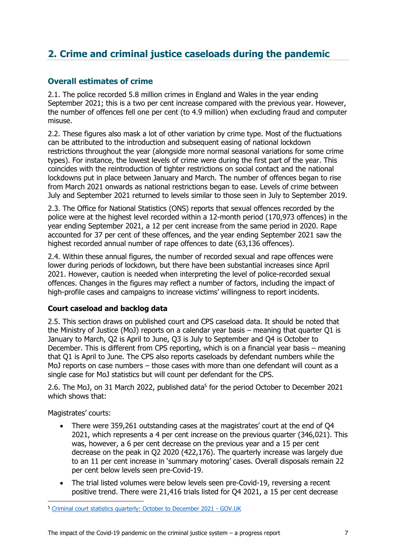# <span id="page-6-0"></span>**2. Crime and criminal justice caseloads during the pandemic**

### <span id="page-6-1"></span>**Overall estimates of crime**

2.1. The police recorded 5.8 million crimes in England and Wales in the year ending September 2021; this is a two per cent increase compared with the previous year. However, the number of offences fell one per cent (to 4.9 million) when excluding fraud and computer misuse.

2.2. These figures also mask a lot of other variation by crime type. Most of the fluctuations can be attributed to the introduction and subsequent easing of national lockdown restrictions throughout the year (alongside more normal seasonal variations for some crime types). For instance, the lowest levels of crime were during the first part of the year. This coincides with the reintroduction of tighter restrictions on social contact and the national lockdowns put in place between January and March. The number of offences began to rise from March 2021 onwards as national restrictions began to ease. Levels of crime between July and September 2021 returned to levels similar to those seen in July to September 2019.

2.3. The Office for National Statistics (ONS) reports that sexual offences recorded by the police were at the highest level recorded within a 12-month period (170,973 offences) in the year ending September 2021, a 12 per cent increase from the same period in 2020. Rape accounted for 37 per cent of these offences, and the year ending September 2021 saw the highest recorded annual number of rape offences to date (63,136 offences).

2.4. Within these annual figures, the number of recorded sexual and rape offences were lower during periods of lockdown, but there have been substantial increases since April 2021. However, caution is needed when interpreting the level of police-recorded sexual offences. Changes in the figures may reflect a number of factors, including the impact of high-profile cases and campaigns to increase victims' willingness to report incidents.

### **Court caseload and backlog data**

2.5. This section draws on published court and CPS caseload data. It should be noted that the Ministry of Justice (MoJ) reports on a calendar year basis – meaning that quarter Q1 is January to March, Q2 is April to June, Q3 is July to September and Q4 is October to December. This is different from CPS reporting, which is on a financial year basis – meaning that Q1 is April to June. The CPS also reports caseloads by defendant numbers while the MoJ reports on case numbers – those cases with more than one defendant will count as a single case for MoJ statistics but will count per defendant for the CPS.

2.6. The MoJ, on 31 March 2022, published data<sup>5</sup> for the period October to December 2021 which shows that:

Magistrates' courts:

- There were 359,261 outstanding cases at the magistrates' court at the end of Q4 2021, which represents a 4 per cent increase on the previous quarter (346,021). This was, however, a 6 per cent decrease on the previous year and a 15 per cent decrease on the peak in Q2 2020 (422,176). The quarterly increase was largely due to an 11 per cent increase in 'summary motoring' cases. Overall disposals remain 22 per cent below levels seen pre-Covid-19.
- The trial listed volumes were below levels seen pre-Covid-19, reversing a recent positive trend. There were 21,416 trials listed for Q4 2021, a 15 per cent decrease

<sup>5</sup> [Criminal court statistics quarterly: October to December 2021 -](file:///C:/Users/hedavies/OneDrive%20-%20Ministry%20of%20Justice/Documents/Thematics/CJIG/State%20of%20the%20Nation/2021-22/Draft/Working%20draft/MoJ%20data%20update/Criminal%20court%20statistics%20quarterly_%20October%20to%20December%202021%20-%20GOV.UK.html) GOV.UK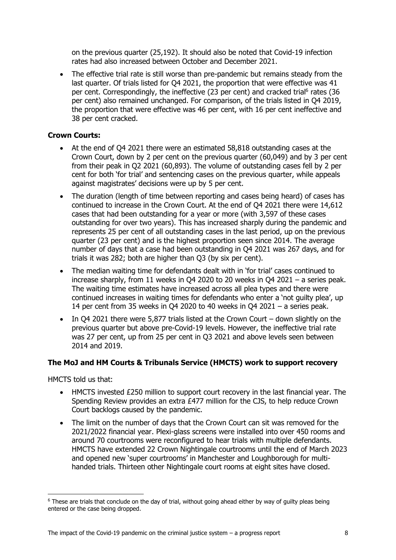on the previous quarter (25,192). It should also be noted that Covid-19 infection rates had also increased between October and December 2021.

• The effective trial rate is still worse than pre-pandemic but remains steady from the last quarter. Of trials listed for Q4 2021, the proportion that were effective was 41 per cent. Correspondingly, the ineffective (23 per cent) and cracked trial<sup>6</sup> rates (36 per cent) also remained unchanged. For comparison, of the trials listed in Q4 2019, the proportion that were effective was 46 per cent, with 16 per cent ineffective and 38 per cent cracked.

#### **Crown Courts:**

- At the end of Q4 2021 there were an estimated 58,818 outstanding cases at the Crown Court, down by 2 per cent on the previous quarter (60,049) and by 3 per cent from their peak in Q2 2021 (60,893). The volume of outstanding cases fell by 2 per cent for both 'for trial' and sentencing cases on the previous quarter, while appeals against magistrates' decisions were up by 5 per cent.
- The duration (length of time between reporting and cases being heard) of cases has continued to increase in the Crown Court. At the end of Q4 2021 there were 14,612 cases that had been outstanding for a year or more (with 3,597 of these cases outstanding for over two years). This has increased sharply during the pandemic and represents 25 per cent of all outstanding cases in the last period, up on the previous quarter (23 per cent) and is the highest proportion seen since 2014. The average number of days that a case had been outstanding in Q4 2021 was 267 days, and for trials it was 282; both are higher than Q3 (by six per cent).
- The median waiting time for defendants dealt with in 'for trial' cases continued to increase sharply, from 11 weeks in Q4 2020 to 20 weeks in Q4 2021 – a series peak. The waiting time estimates have increased across all plea types and there were continued increases in waiting times for defendants who enter a 'not guilty plea', up 14 per cent from 35 weeks in Q4 2020 to 40 weeks in Q4 2021 – a series peak.
- In Q4 2021 there were 5,877 trials listed at the Crown Court down slightly on the previous quarter but above pre-Covid-19 levels. However, the ineffective trial rate was 27 per cent, up from 25 per cent in Q3 2021 and above levels seen between 2014 and 2019.

### **The MoJ and HM Courts & Tribunals Service (HMCTS) work to support recovery**

HMCTS told us that:

- HMCTS invested £250 million to support court recovery in the last financial year. The Spending Review provides an extra £477 million for the CJS, to help reduce Crown Court backlogs caused by the pandemic.
- The limit on the number of days that the Crown Court can sit was removed for the 2021/2022 financial year. Plexi-glass screens were installed into over 450 rooms and around 70 courtrooms were reconfigured to hear trials with multiple defendants. HMCTS have extended 22 Crown Nightingale courtrooms until the end of March 2023 and opened new 'super courtrooms' in Manchester and Loughborough for multihanded trials. Thirteen other Nightingale court rooms at eight sites have closed.

<sup>&</sup>lt;sup>6</sup> These are trials that conclude on the day of trial, without going ahead either by way of guilty pleas being entered or the case being dropped.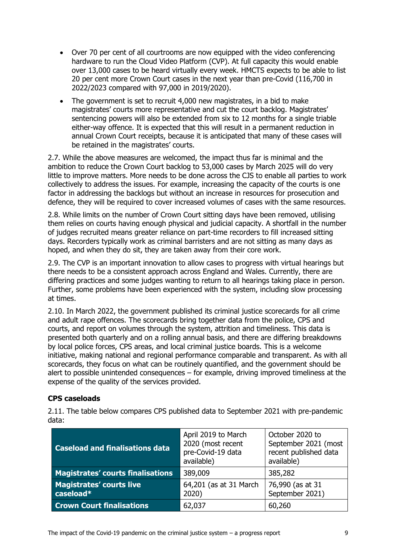- Over 70 per cent of all courtrooms are now equipped with the video conferencing hardware to run the Cloud Video Platform (CVP). At full capacity this would enable over 13,000 cases to be heard virtually every week. HMCTS expects to be able to list 20 per cent more Crown Court cases in the next year than pre-Covid (116,700 in 2022/2023 compared with 97,000 in 2019/2020).
- The government is set to recruit 4,000 new magistrates, in a bid to make magistrates' courts more representative and cut the court backlog. Magistrates' sentencing powers will also be extended from six to 12 months for a single triable either-way offence. It is expected that this will result in a permanent reduction in annual Crown Court receipts, because it is anticipated that many of these cases will be retained in the magistrates' courts.

2.7. While the above measures are welcomed, the impact thus far is minimal and the ambition to reduce the Crown Court backlog to 53,000 cases by March 2025 will do very little to improve matters. More needs to be done across the CJS to enable all parties to work collectively to address the issues. For example, increasing the capacity of the courts is one factor in addressing the backlogs but without an increase in resources for prosecution and defence, they will be required to cover increased volumes of cases with the same resources.

2.8. While limits on the number of Crown Court sitting days have been removed, utilising them relies on courts having enough physical and judicial capacity. A shortfall in the number of judges recruited means greater reliance on part-time recorders to fill increased sitting days. Recorders typically work as criminal barristers and are not sitting as many days as hoped, and when they do sit, they are taken away from their core work.

2.9. The CVP is an important innovation to allow cases to progress with virtual hearings but there needs to be a consistent approach across England and Wales. Currently, there are differing practices and some judges wanting to return to all hearings taking place in person. Further, some problems have been experienced with the system, including slow processing at times.

2.10. In March 2022, the government published its criminal justice scorecards for all crime and adult rape offences. The scorecards bring together data from the police, CPS and courts, and report on volumes through the system, attrition and timeliness. This data is presented both quarterly and on a rolling annual basis, and there are differing breakdowns by local police forces, CPS areas, and local criminal justice boards. This is a welcome initiative, making national and regional performance comparable and transparent. As with all scorecards, they focus on what can be routinely quantified, and the government should be alert to possible unintended consequences – for example, driving improved timeliness at the expense of the quality of the services provided.

### **CPS caseloads**

| <b>Caseload and finalisations data</b>       | April 2019 to March<br>2020 (most recent<br>pre-Covid-19 data<br>available) | October 2020 to<br>September 2021 (most<br>recent published data<br>available) |
|----------------------------------------------|-----------------------------------------------------------------------------|--------------------------------------------------------------------------------|
| <b>Magistrates' courts finalisations</b>     | 389,009                                                                     | 385,282                                                                        |
| <b>Magistrates' courts live</b><br>caseload* | 64,201 (as at 31 March<br>2020)                                             | 76,990 (as at 31<br>September 2021)                                            |
| <b>Crown Court finalisations</b>             | 62,037                                                                      | 60,260                                                                         |

2.11. The table below compares CPS published data to September 2021 with pre-pandemic data: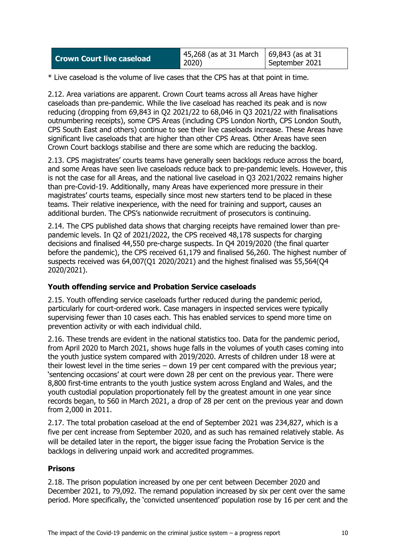| <b>Crown Court live caseload</b> | 45,268 (as at 31 March   69,843 (as at 31 |                |
|----------------------------------|-------------------------------------------|----------------|
|                                  | 2020)                                     | September 2021 |

\* Live caseload is the volume of live cases that the CPS has at that point in time.

2.12. Area variations are apparent. Crown Court teams across all Areas have higher caseloads than pre-pandemic. While the live caseload has reached its peak and is now reducing (dropping from 69,843 in Q2 2021/22 to 68,046 in Q3 2021/22 with finalisations outnumbering receipts), some CPS Areas (including CPS London North, CPS London South, CPS South East and others) continue to see their live caseloads increase. These Areas have significant live caseloads that are higher than other CPS Areas. Other Areas have seen Crown Court backlogs stabilise and there are some which are reducing the backlog.

2.13. CPS magistrates' courts teams have generally seen backlogs reduce across the board, and some Areas have seen live caseloads reduce back to pre-pandemic levels. However, this is not the case for all Areas, and the national live caseload in Q3 2021/2022 remains higher than pre-Covid-19. Additionally, many Areas have experienced more pressure in their magistrates' courts teams, especially since most new starters tend to be placed in these teams. Their relative inexperience, with the need for training and support, causes an additional burden. The CPS's nationwide recruitment of prosecutors is continuing.

2.14. The CPS published data shows that charging receipts have remained lower than prepandemic levels. In Q2 of 2021/2022, the CPS received 48,178 suspects for charging decisions and finalised 44,550 pre-charge suspects. In Q4 2019/2020 (the final quarter before the pandemic), the CPS received 61,179 and finalised 56,260. The highest number of suspects received was 64,007(Q1 2020/2021) and the highest finalised was 55,564(Q4 2020/2021).

#### **Youth offending service and Probation Service caseloads**

2.15. Youth offending service caseloads further reduced during the pandemic period, particularly for court-ordered work. Case managers in inspected services were typically supervising fewer than 10 cases each. This has enabled services to spend more time on prevention activity or with each individual child.

2.16. These trends are evident in the national statistics too. Data for the pandemic period, from April 2020 to March 2021, shows huge falls in the volumes of youth cases coming into the youth justice system compared with 2019/2020. Arrests of children under 18 were at their lowest level in the time series – down 19 per cent compared with the previous year; 'sentencing occasions' at court were down 28 per cent on the previous year. There were 8,800 first-time entrants to the youth justice system across England and Wales, and the youth custodial population proportionately fell by the greatest amount in one year since records began, to 560 in March 2021, a drop of 28 per cent on the previous year and down from 2,000 in 2011.

2.17. The total probation caseload at the end of September 2021 was 234,827, which is a five per cent increase from September 2020, and as such has remained relatively stable. As will be detailed later in the report, the bigger issue facing the Probation Service is the backlogs in delivering unpaid work and accredited programmes.

#### **Prisons**

2.18. The prison population increased by one per cent between December 2020 and December 2021, to 79,092. The remand population increased by six per cent over the same period. More specifically, the 'convicted unsentenced' population rose by 16 per cent and the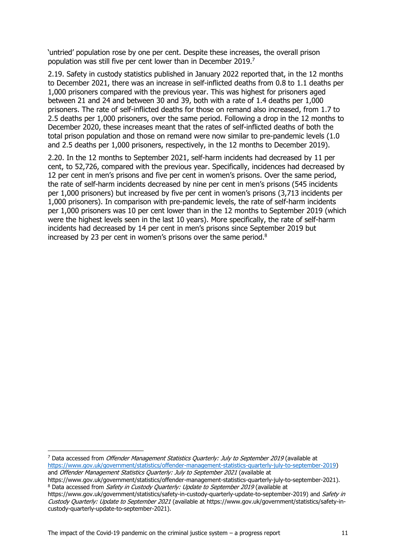'untried' population rose by one per cent. Despite these increases, the overall prison population was still five per cent lower than in December 2019. 7

2.19. Safety in custody statistics published in January 2022 reported that, in the 12 months to December 2021, there was an increase in self-inflicted deaths from 0.8 to 1.1 deaths per 1,000 prisoners compared with the previous year. This was highest for prisoners aged between 21 and 24 and between 30 and 39, both with a rate of 1.4 deaths per 1,000 prisoners. The rate of self-inflicted deaths for those on remand also increased, from 1.7 to 2.5 deaths per 1,000 prisoners, over the same period. Following a drop in the 12 months to December 2020, these increases meant that the rates of self-inflicted deaths of both the total prison population and those on remand were now similar to pre-pandemic levels (1.0 and 2.5 deaths per 1,000 prisoners, respectively, in the 12 months to December 2019).

2.20. In the 12 months to September 2021, self-harm incidents had decreased by 11 per cent, to 52,726, compared with the previous year. Specifically, incidences had decreased by 12 per cent in men's prisons and five per cent in women's prisons. Over the same period, the rate of self-harm incidents decreased by nine per cent in men's prisons (545 incidents per 1,000 prisoners) but increased by five per cent in women's prisons (3,713 incidents per 1,000 prisoners). In comparison with pre-pandemic levels, the rate of self-harm incidents per 1,000 prisoners was 10 per cent lower than in the 12 months to September 2019 (which were the highest levels seen in the last 10 years). More specifically, the rate of self-harm incidents had decreased by 14 per cent in men's prisons since September 2019 but increased by 23 per cent in women's prisons over the same period. $8$ 

<sup>&</sup>lt;sup>7</sup> Data accessed from *Offender Management Statistics Quarterly: July to September 2019* (available at [https://www.gov.uk/government/statistics/offender-management-statistics-quarterly-july-to-september-2019\)](https://www.gov.uk/government/statistics/offender-management-statistics-quarterly-july-to-september-2019) and Offender Management Statistics Quarterly: July to September 2021 (available at

https://www.gov.uk/government/statistics/offender-management-statistics-quarterly-july-to-september-2021). <sup>8</sup> Data accessed from *Safety in Custody Quarterly: Update to September 2019* (available at

https://www.gov.uk/government/statistics/safety-in-custody-quarterly-update-to-september-2019) and Safety in Custody Quarterly: Update to September 2021 (available at https://www.gov.uk/government/statistics/safety-incustody-quarterly-update-to-september-2021).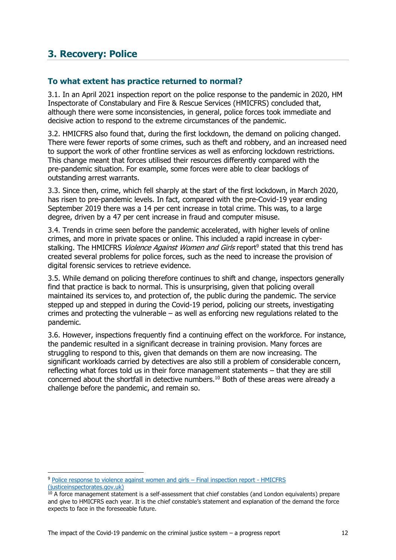## <span id="page-11-0"></span>**3. Recovery: Police**

### <span id="page-11-1"></span>**To what extent has practice returned to normal?**

3.1. In an April 2021 inspection report on the police response to the pandemic in 2020, HM Inspectorate of Constabulary and Fire & Rescue Services (HMICFRS) concluded that, although there were some inconsistencies, in general, police forces took immediate and decisive action to respond to the extreme circumstances of the pandemic.

3.2. HMICFRS also found that, during the first lockdown, the demand on policing changed. There were fewer reports of some crimes, such as theft and robbery, and an increased need to support the work of other frontline services as well as enforcing lockdown restrictions. This change meant that forces utilised their resources differently compared with the pre-pandemic situation. For example, some forces were able to clear backlogs of outstanding arrest warrants.

3.3. Since then, crime, which fell sharply at the start of the first lockdown, in March 2020, has risen to pre-pandemic levels. In fact, compared with the pre-Covid-19 year ending September 2019 there was a 14 per cent increase in total crime. This was, to a large degree, driven by a 47 per cent increase in fraud and computer misuse.

3.4. Trends in crime seen before the pandemic accelerated, with higher levels of online crimes, and more in private spaces or online. This included a rapid increase in cyberstalking. The HMICFRS *Violence Against Women and Girls* report<sup>9</sup> stated that this trend has created several problems for police forces, such as the need to increase the provision of digital forensic services to retrieve evidence.

3.5. While demand on policing therefore continues to shift and change, inspectors generally find that practice is back to normal. This is unsurprising, given that policing overall maintained its services to, and protection of, the public during the pandemic. The service stepped up and stepped in during the Covid-19 period, policing our streets, investigating crimes and protecting the vulnerable – as well as enforcing new regulations related to the pandemic.

3.6. However, inspections frequently find a continuing effect on the workforce. For instance, the pandemic resulted in a significant decrease in training provision. Many forces are struggling to respond to this, given that demands on them are now increasing. The significant workloads carried by detectives are also still a problem of considerable concern, reflecting what forces told us in their force management statements – that they are still concerned about the shortfall in detective numbers.<sup>10</sup> Both of these areas were already a challenge before the pandemic, and remain so.

<sup>9</sup> [Police response to violence against women and girls](https://www.justiceinspectorates.gov.uk/hmicfrs/publications/police-response-to-violence-against-women-and-girls/) – Final inspection report - HMICFRS [\(justiceinspectorates.gov.uk\)](https://www.justiceinspectorates.gov.uk/hmicfrs/publications/police-response-to-violence-against-women-and-girls/)

<sup>&</sup>lt;sup>10</sup> A force management statement is a self-assessment that chief constables (and London equivalents) prepare and give to HMICFRS each year. It is the chief constable's statement and explanation of the demand the force expects to face in the foreseeable future.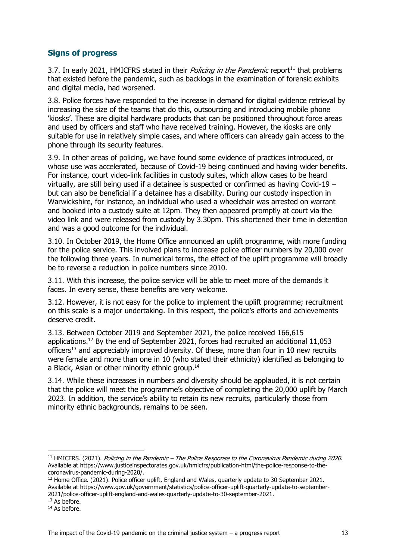### <span id="page-12-0"></span>**Signs of progress**

3.7. In early 2021, HMICFRS stated in their *Policing in the Pandemic* report<sup>11</sup> that problems that existed before the pandemic, such as backlogs in the examination of forensic exhibits and digital media, had worsened.

3.8. Police forces have responded to the increase in demand for digital evidence retrieval by increasing the size of the teams that do this, outsourcing and introducing mobile phone 'kiosks'. These are digital hardware products that can be positioned throughout force areas and used by officers and staff who have received training. However, the kiosks are only suitable for use in relatively simple cases, and where officers can already gain access to the phone through its security features.

3.9. In other areas of policing, we have found some evidence of practices introduced, or whose use was accelerated, because of Covid-19 being continued and having wider benefits. For instance, court video-link facilities in custody suites, which allow cases to be heard virtually, are still being used if a detainee is suspected or confirmed as having Covid-19 – but can also be beneficial if a detainee has a disability. During our custody inspection in Warwickshire, for instance, an individual who used a wheelchair was arrested on warrant and booked into a custody suite at 12pm. They then appeared promptly at court via the video link and were released from custody by 3.30pm. This shortened their time in detention and was a good outcome for the individual.

3.10. In October 2019, the Home Office announced an uplift programme, with more funding for the police service. This involved plans to increase police officer numbers by 20,000 over the following three years. In numerical terms, the effect of the uplift programme will broadly be to reverse a reduction in police numbers since 2010.

3.11. With this increase, the police service will be able to meet more of the demands it faces. In every sense, these benefits are very welcome.

3.12. However, it is not easy for the police to implement the uplift programme; recruitment on this scale is a major undertaking. In this respect, the police's efforts and achievements deserve credit.

3.13. Between October 2019 and September 2021, the police received 166,615 applications. <sup>12</sup> By the end of September 2021, forces had recruited an additional 11,053 officers<sup>13</sup> and appreciably improved diversity. Of these, more than four in 10 new recruits were female and more than one in 10 (who stated their ethnicity) identified as belonging to a Black, Asian or other minority ethnic group.<sup>14</sup>

3.14. While these increases in numbers and diversity should be applauded, it is not certain that the police will meet the programme's objective of completing the 20,000 uplift by March 2023. In addition, the service's ability to retain its new recruits, particularly those from minority ethnic backgrounds, remains to be seen.

<sup>&</sup>lt;sup>11</sup> HMICFRS. (2021). Policing in the Pandemic – The Police Response to the Coronavirus Pandemic during 2020. Available at https://www.justiceinspectorates.gov.uk/hmicfrs/publication-html/the-police-response-to-thecoronavirus-pandemic-during-2020/.

<sup>&</sup>lt;sup>12</sup> Home Office. (2021). Police officer uplift, England and Wales, quarterly update to 30 September 2021. Available at https://www.gov.uk/government/statistics/police-officer-uplift-quarterly-update-to-september-2021/police-officer-uplift-england-and-wales-quarterly-update-to-30-september-2021.

<sup>&</sup>lt;sup>13</sup> As before.

<sup>&</sup>lt;sup>14</sup> As before.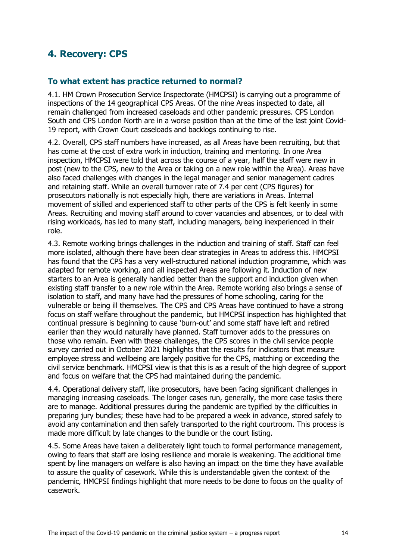### <span id="page-13-0"></span>**4. Recovery: CPS**

### <span id="page-13-1"></span>**To what extent has practice returned to normal?**

4.1. HM Crown Prosecution Service Inspectorate (HMCPSI) is carrying out a programme of inspections of the 14 geographical CPS Areas. Of the nine Areas inspected to date, all remain challenged from increased caseloads and other pandemic pressures. CPS London South and CPS London North are in a worse position than at the time of the last joint Covid-19 report, with Crown Court caseloads and backlogs continuing to rise.

4.2. Overall, CPS staff numbers have increased, as all Areas have been recruiting, but that has come at the cost of extra work in induction, training and mentoring. In one Area inspection, HMCPSI were told that across the course of a year, half the staff were new in post (new to the CPS, new to the Area or taking on a new role within the Area). Areas have also faced challenges with changes in the legal manager and senior management cadres and retaining staff. While an overall turnover rate of 7.4 per cent (CPS figures) for prosecutors nationally is not especially high, there are variations in Areas. Internal movement of skilled and experienced staff to other parts of the CPS is felt keenly in some Areas. Recruiting and moving staff around to cover vacancies and absences, or to deal with rising workloads, has led to many staff, including managers, being inexperienced in their role.

4.3. Remote working brings challenges in the induction and training of staff. Staff can feel more isolated, although there have been clear strategies in Areas to address this. HMCPSI has found that the CPS has a very well-structured national induction programme, which was adapted for remote working, and all inspected Areas are following it. Induction of new starters to an Area is generally handled better than the support and induction given when existing staff transfer to a new role within the Area. Remote working also brings a sense of isolation to staff, and many have had the pressures of home schooling, caring for the vulnerable or being ill themselves. The CPS and CPS Areas have continued to have a strong focus on staff welfare throughout the pandemic, but HMCPSI inspection has highlighted that continual pressure is beginning to cause 'burn-out' and some staff have left and retired earlier than they would naturally have planned. Staff turnover adds to the pressures on those who remain. Even with these challenges, the CPS scores in the civil service people survey carried out in October 2021 highlights that the results for indicators that measure employee stress and wellbeing are largely positive for the CPS, matching or exceeding the civil service benchmark. HMCPSI view is that this is as a result of the high degree of support and focus on welfare that the CPS had maintained during the pandemic.

4.4. Operational delivery staff, like prosecutors, have been facing significant challenges in managing increasing caseloads. The longer cases run, generally, the more case tasks there are to manage. Additional pressures during the pandemic are typified by the difficulties in preparing jury bundles; these have had to be prepared a week in advance, stored safely to avoid any contamination and then safely transported to the right courtroom. This process is made more difficult by late changes to the bundle or the court listing.

4.5. Some Areas have taken a deliberately light touch to formal performance management, owing to fears that staff are losing resilience and morale is weakening. The additional time spent by line managers on welfare is also having an impact on the time they have available to assure the quality of casework. While this is understandable given the context of the pandemic, HMCPSI findings highlight that more needs to be done to focus on the quality of casework.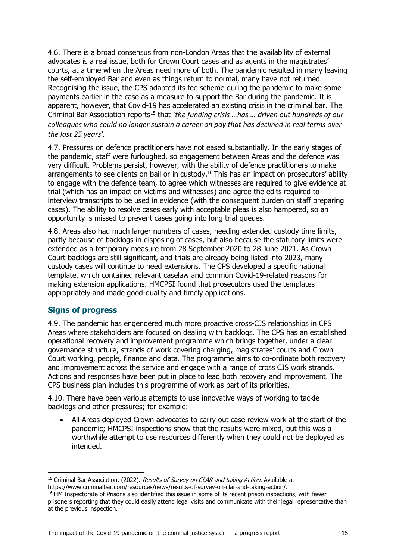4.6. There is a broad consensus from non-London Areas that the availability of external advocates is a real issue, both for Crown Court cases and as agents in the magistrates' courts, at a time when the Areas need more of both. The pandemic resulted in many leaving the self-employed Bar and even as things return to normal, many have not returned. Recognising the issue, the CPS adapted its fee scheme during the pandemic to make some payments earlier in the case as a measure to support the Bar during the pandemic. It is apparent, however, that Covid-19 has accelerated an existing crisis in the criminal bar. The Criminal Bar Association reports<sup>15</sup> that '*the funding crisis …has … driven out hundreds of our colleagues who could no longer sustain a career on pay that has declined in real terms over the last 25 years'.* 

4.7. Pressures on defence practitioners have not eased substantially. In the early stages of the pandemic, staff were furloughed, so engagement between Areas and the defence was very difficult. Problems persist, however, with the ability of defence practitioners to make arrangements to see clients on bail or in custody.<sup>16</sup> This has an impact on prosecutors' ability to engage with the defence team, to agree which witnesses are required to give evidence at trial (which has an impact on victims and witnesses) and agree the edits required to interview transcripts to be used in evidence (with the consequent burden on staff preparing cases). The ability to resolve cases early with acceptable pleas is also hampered, so an opportunity is missed to prevent cases going into long trial queues.

4.8. Areas also had much larger numbers of cases, needing extended custody time limits, partly because of backlogs in disposing of cases, but also because the statutory limits were extended as a temporary measure from 28 September 2020 to 28 June 2021. As Crown Court backlogs are still significant, and trials are already being listed into 2023, many custody cases will continue to need extensions. The CPS developed a specific national template, which contained relevant caselaw and common Covid-19-related reasons for making extension applications. HMCPSI found that prosecutors used the templates appropriately and made good-quality and timely applications.

### <span id="page-14-0"></span>**Signs of progress**

4.9. The pandemic has engendered much more proactive cross-CJS relationships in CPS Areas where stakeholders are focused on dealing with backlogs. The CPS has an established operational recovery and improvement programme which brings together, under a clear governance structure, strands of work covering charging, magistrates' courts and Crown Court working, people, finance and data. The programme aims to co-ordinate both recovery and improvement across the service and engage with a range of cross CJS work strands. Actions and responses have been put in place to lead both recovery and improvement. The CPS business plan includes this programme of work as part of its priorities.

4.10. There have been various attempts to use innovative ways of working to tackle backlogs and other pressures; for example:

• All Areas deployed Crown advocates to carry out case review work at the start of the pandemic; HMCPSI inspections show that the results were mixed, but this was a worthwhile attempt to use resources differently when they could not be deployed as intended.

<sup>&</sup>lt;sup>15</sup> Criminal Bar Association. (2022). Results of Survey on CLAR and taking Action. Available at https://www.criminalbar.com/resources/news/results-of-survey-on-clar-and-taking-action/.

<sup>&</sup>lt;sup>16</sup> HM Inspectorate of Prisons also identified this issue in some of its recent prison inspections, with fewer prisoners reporting that they could easily attend legal visits and communicate with their legal representative than at the previous inspection.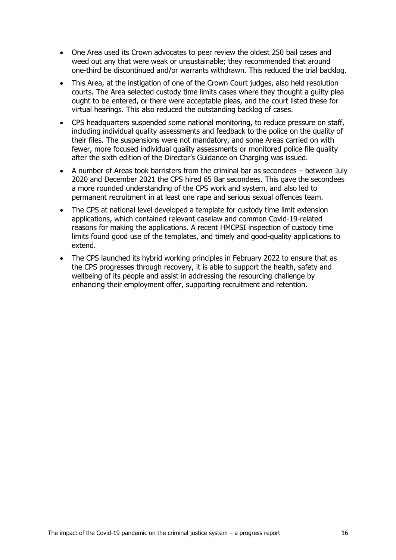- One Area used its Crown advocates to peer review the oldest 250 bail cases and weed out any that were weak or unsustainable; they recommended that around one-third be discontinued and/or warrants withdrawn. This reduced the trial backlog.
- This Area, at the instigation of one of the Crown Court judges, also held resolution courts. The Area selected custody time limits cases where they thought a guilty plea ought to be entered, or there were acceptable pleas, and the court listed these for virtual hearings. This also reduced the outstanding backlog of cases.
- CPS headquarters suspended some national monitoring, to reduce pressure on staff, including individual quality assessments and feedback to the police on the quality of their files. The suspensions were not mandatory, and some Areas carried on with fewer, more focused individual quality assessments or monitored police file quality after the sixth edition of the Director's Guidance on Charging was issued.
- A number of Areas took barristers from the criminal bar as secondees between July 2020 and December 2021 the CPS hired 65 Bar secondees. This gave the secondees a more rounded understanding of the CPS work and system, and also led to permanent recruitment in at least one rape and serious sexual offences team.
- The CPS at national level developed a template for custody time limit extension applications, which contained relevant caselaw and common Covid-19-related reasons for making the applications. A recent HMCPSI inspection of custody time limits found good use of the templates, and timely and good-quality applications to extend.
- The CPS launched its hybrid working principles in February 2022 to ensure that as the CPS progresses through recovery, it is able to support the health, safety and wellbeing of its people and assist in addressing the resourcing challenge by enhancing their employment offer, supporting recruitment and retention.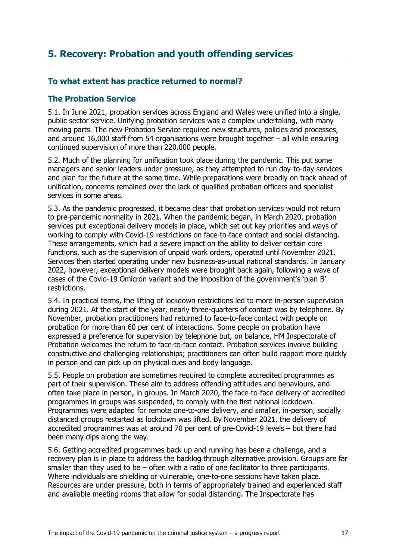# <span id="page-16-0"></span>**5. Recovery: Probation and youth offending services**

### <span id="page-16-1"></span>**To what extent has practice returned to normal?**

### <span id="page-16-2"></span>**The Probation Service**

5.1. In June 2021, probation services across England and Wales were unified into a single, public sector service. Unifying probation services was a complex undertaking, with many moving parts. The new Probation Service required new structures, policies and processes, and around 16,000 staff from 54 organisations were brought together – all while ensuring continued supervision of more than 220,000 people.

5.2. Much of the planning for unification took place during the pandemic. This put some managers and senior leaders under pressure, as they attempted to run day-to-day services and plan for the future at the same time. While preparations were broadly on track ahead of unification, concerns remained over the lack of qualified probation officers and specialist services in some areas.

5.3. As the pandemic progressed, it became clear that probation services would not return to pre-pandemic normality in 2021. When the pandemic began, in March 2020, probation services put exceptional delivery models in place, which set out key priorities and ways of working to comply with Covid-19 restrictions on face-to-face contact and social distancing. These arrangements, which had a severe impact on the ability to deliver certain core functions, such as the supervision of unpaid work orders, operated until November 2021. Services then started operating under new business-as-usual national standards. In January 2022, however, exceptional delivery models were brought back again, following a wave of cases of the Covid-19 Omicron variant and the imposition of the government's 'plan B' restrictions.

5.4. In practical terms, the lifting of lockdown restrictions led to more in-person supervision during 2021. At the start of the year, nearly three-quarters of contact was by telephone. By November, probation practitioners had returned to face-to-face contact with people on probation for more than 60 per cent of interactions. Some people on probation have expressed a preference for supervision by telephone but, on balance, HM Inspectorate of Probation welcomes the return to face-to-face contact. Probation services involve building constructive and challenging relationships; practitioners can often build rapport more quickly in person and can pick up on physical cues and body language.

5.5. People on probation are sometimes required to complete accredited programmes as part of their supervision. These aim to address offending attitudes and behaviours, and often take place in person, in groups. In March 2020, the face-to-face delivery of accredited programmes in groups was suspended, to comply with the first national lockdown. Programmes were adapted for remote one-to-one delivery, and smaller, in-person, socially distanced groups restarted as lockdown was lifted. By November 2021, the delivery of accredited programmes was at around 70 per cent of pre-Covid-19 levels – but there had been many dips along the way.

5.6. Getting accredited programmes back up and running has been a challenge, and a recovery plan is in place to address the backlog through alternative provision. Groups are far smaller than they used to be – often with a ratio of one facilitator to three participants. Where individuals are shielding or vulnerable, one-to-one sessions have taken place. Resources are under pressure, both in terms of appropriately trained and experienced staff and available meeting rooms that allow for social distancing. The Inspectorate has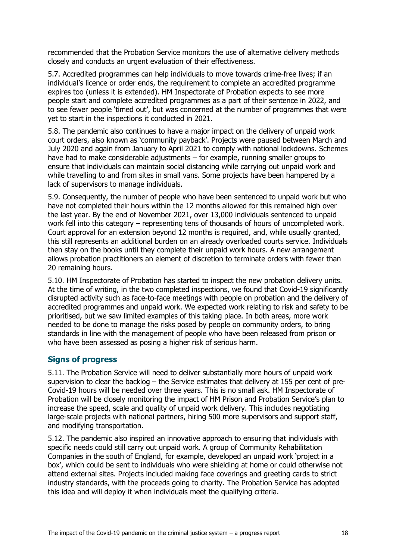recommended that the Probation Service monitors the use of alternative delivery methods closely and conducts an urgent evaluation of their effectiveness.

5.7. Accredited programmes can help individuals to move towards crime-free lives; if an individual's licence or order ends, the requirement to complete an accredited programme expires too (unless it is extended). HM Inspectorate of Probation expects to see more people start and complete accredited programmes as a part of their sentence in 2022, and to see fewer people 'timed out', but was concerned at the number of programmes that were yet to start in the inspections it conducted in 2021.

5.8. The pandemic also continues to have a major impact on the delivery of unpaid work court orders, also known as 'community payback'. Projects were paused between March and July 2020 and again from January to April 2021 to comply with national lockdowns. Schemes have had to make considerable adjustments – for example, running smaller groups to ensure that individuals can maintain social distancing while carrying out unpaid work and while travelling to and from sites in small vans. Some projects have been hampered by a lack of supervisors to manage individuals.

5.9. Consequently, the number of people who have been sentenced to unpaid work but who have not completed their hours within the 12 months allowed for this remained high over the last year. By the end of November 2021, over 13,000 individuals sentenced to unpaid work fell into this category – representing tens of thousands of hours of uncompleted work. Court approval for an extension beyond 12 months is required, and, while usually granted, this still represents an additional burden on an already overloaded courts service. Individuals then stay on the books until they complete their unpaid work hours. A new arrangement allows probation practitioners an element of discretion to terminate orders with fewer than 20 remaining hours.

5.10. HM Inspectorate of Probation has started to inspect the new probation delivery units. At the time of writing, in the two completed inspections, we found that Covid-19 significantly disrupted activity such as face-to-face meetings with people on probation and the delivery of accredited programmes and unpaid work. We expected work relating to risk and safety to be prioritised, but we saw limited examples of this taking place. In both areas, more work needed to be done to manage the risks posed by people on community orders, to bring standards in line with the management of people who have been released from prison or who have been assessed as posing a higher risk of serious harm.

### <span id="page-17-0"></span>**Signs of progress**

5.11. The Probation Service will need to deliver substantially more hours of unpaid work supervision to clear the backlog – the Service estimates that delivery at 155 per cent of pre-Covid-19 hours will be needed over three years. This is no small ask. HM Inspectorate of Probation will be closely monitoring the impact of HM Prison and Probation Service's plan to increase the speed, scale and quality of unpaid work delivery. This includes negotiating large-scale projects with national partners, hiring 500 more supervisors and support staff, and modifying transportation.

5.12. The pandemic also inspired an innovative approach to ensuring that individuals with specific needs could still carry out unpaid work. A group of Community Rehabilitation Companies in the south of England, for example, developed an unpaid work 'project in a box', which could be sent to individuals who were shielding at home or could otherwise not attend external sites. Projects included making face coverings and greeting cards to strict industry standards, with the proceeds going to charity. The Probation Service has adopted this idea and will deploy it when individuals meet the qualifying criteria.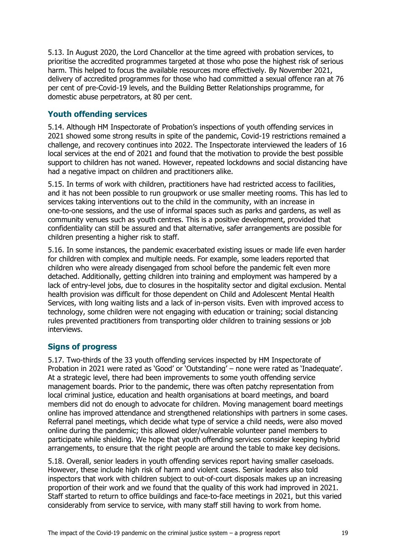5.13. In August 2020, the Lord Chancellor at the time agreed with probation services, to prioritise the accredited programmes targeted at those who pose the highest risk of serious harm. This helped to focus the available resources more effectively. By November 2021, delivery of accredited programmes for those who had committed a sexual offence ran at 76 per cent of pre-Covid-19 levels, and the Building Better Relationships programme, for domestic abuse perpetrators, at 80 per cent.

### <span id="page-18-0"></span>**Youth offending services**

5.14. Although HM Inspectorate of Probation's inspections of youth offending services in 2021 showed some strong results in spite of the pandemic, Covid-19 restrictions remained a challenge, and recovery continues into 2022. The Inspectorate interviewed the leaders of 16 local services at the end of 2021 and found that the motivation to provide the best possible support to children has not waned. However, repeated lockdowns and social distancing have had a negative impact on children and practitioners alike.

5.15. In terms of work with children, practitioners have had restricted access to facilities, and it has not been possible to run groupwork or use smaller meeting rooms. This has led to services taking interventions out to the child in the community, with an increase in one-to-one sessions, and the use of informal spaces such as parks and gardens, as well as community venues such as youth centres. This is a positive development, provided that confidentiality can still be assured and that alternative, safer arrangements are possible for children presenting a higher risk to staff.

5.16. In some instances, the pandemic exacerbated existing issues or made life even harder for children with complex and multiple needs. For example, some leaders reported that children who were already disengaged from school before the pandemic felt even more detached. Additionally, getting children into training and employment was hampered by a lack of entry-level jobs, due to closures in the hospitality sector and digital exclusion. Mental health provision was difficult for those dependent on Child and Adolescent Mental Health Services, with long waiting lists and a lack of in-person visits. Even with improved access to technology, some children were not engaging with education or training; social distancing rules prevented practitioners from transporting older children to training sessions or job interviews.

### <span id="page-18-1"></span>**Signs of progress**

5.17. Two-thirds of the 33 youth offending services inspected by HM Inspectorate of Probation in 2021 were rated as 'Good' or 'Outstanding' – none were rated as 'Inadequate'. At a strategic level, there had been improvements to some youth offending service management boards. Prior to the pandemic, there was often patchy representation from local criminal justice, education and health organisations at board meetings, and board members did not do enough to advocate for children. Moving management board meetings online has improved attendance and strengthened relationships with partners in some cases. Referral panel meetings, which decide what type of service a child needs, were also moved online during the pandemic; this allowed older/vulnerable volunteer panel members to participate while shielding. We hope that youth offending services consider keeping hybrid arrangements, to ensure that the right people are around the table to make key decisions.

5.18. Overall, senior leaders in youth offending services report having smaller caseloads. However, these include high risk of harm and violent cases. Senior leaders also told inspectors that work with children subject to out-of-court disposals makes up an increasing proportion of their work and we found that the quality of this work had improved in 2021. Staff started to return to office buildings and face-to-face meetings in 2021, but this varied considerably from service to service, with many staff still having to work from home.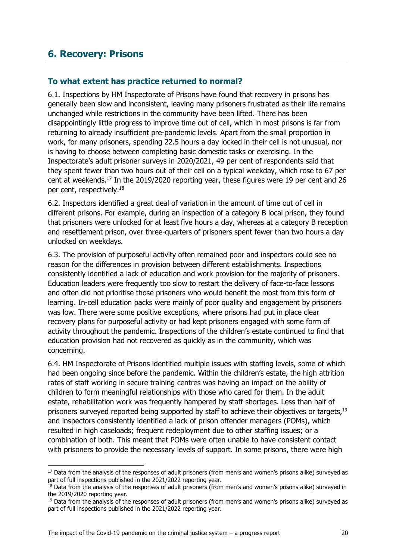### <span id="page-19-0"></span>**6. Recovery: Prisons**

### <span id="page-19-1"></span>**To what extent has practice returned to normal?**

6.1. Inspections by HM Inspectorate of Prisons have found that recovery in prisons has generally been slow and inconsistent, leaving many prisoners frustrated as their life remains unchanged while restrictions in the community have been lifted. There has been disappointingly little progress to improve time out of cell, which in most prisons is far from returning to already insufficient pre-pandemic levels. Apart from the small proportion in work, for many prisoners, spending 22.5 hours a day locked in their cell is not unusual, nor is having to choose between completing basic domestic tasks or exercising. In the Inspectorate's adult prisoner surveys in 2020/2021, 49 per cent of respondents said that they spent fewer than two hours out of their cell on a typical weekday, which rose to 67 per cent at weekends.<sup>17</sup> In the 2019/2020 reporting year, these figures were 19 per cent and 26 per cent, respectively.<sup>18</sup>

6.2. Inspectors identified a great deal of variation in the amount of time out of cell in different prisons. For example, during an inspection of a category B local prison, they found that prisoners were unlocked for at least five hours a day, whereas at a category B reception and resettlement prison, over three-quarters of prisoners spent fewer than two hours a day unlocked on weekdays.

6.3. The provision of purposeful activity often remained poor and inspectors could see no reason for the differences in provision between different establishments. Inspections consistently identified a lack of education and work provision for the majority of prisoners. Education leaders were frequently too slow to restart the delivery of face-to-face lessons and often did not prioritise those prisoners who would benefit the most from this form of learning. In-cell education packs were mainly of poor quality and engagement by prisoners was low. There were some positive exceptions, where prisons had put in place clear recovery plans for purposeful activity or had kept prisoners engaged with some form of activity throughout the pandemic. Inspections of the children's estate continued to find that education provision had not recovered as quickly as in the community, which was concerning.

6.4. HM Inspectorate of Prisons identified multiple issues with staffing levels, some of which had been ongoing since before the pandemic. Within the children's estate, the high attrition rates of staff working in secure training centres was having an impact on the ability of children to form meaningful relationships with those who cared for them. In the adult estate, rehabilitation work was frequently hampered by staff shortages. Less than half of prisoners surveyed reported being supported by staff to achieve their objectives or targets,<sup>19</sup> and inspectors consistently identified a lack of prison offender managers (POMs), which resulted in high caseloads; frequent redeployment due to other staffing issues; or a combination of both. This meant that POMs were often unable to have consistent contact with prisoners to provide the necessary levels of support. In some prisons, there were high

<sup>&</sup>lt;sup>17</sup> Data from the analysis of the responses of adult prisoners (from men's and women's prisons alike) surveyed as part of full inspections published in the 2021/2022 reporting year.

<sup>&</sup>lt;sup>18</sup> Data from the analysis of the responses of adult prisoners (from men's and women's prisons alike) surveyed in the 2019/2020 reporting year.

<sup>&</sup>lt;sup>19</sup> Data from the analysis of the responses of adult prisoners (from men's and women's prisons alike) surveyed as part of full inspections published in the 2021/2022 reporting year.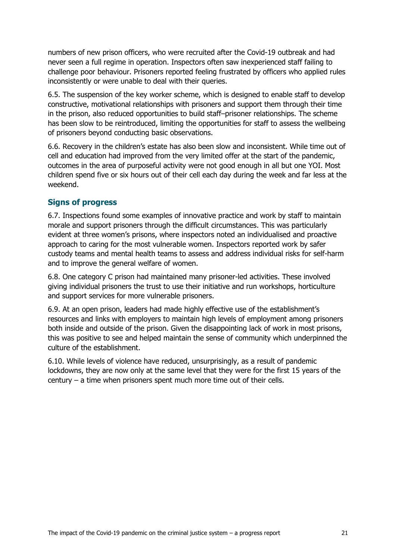numbers of new prison officers, who were recruited after the Covid-19 outbreak and had never seen a full regime in operation. Inspectors often saw inexperienced staff failing to challenge poor behaviour. Prisoners reported feeling frustrated by officers who applied rules inconsistently or were unable to deal with their queries.

6.5. The suspension of the key worker scheme, which is designed to enable staff to develop constructive, motivational relationships with prisoners and support them through their time in the prison, also reduced opportunities to build staff–prisoner relationships. The scheme has been slow to be reintroduced, limiting the opportunities for staff to assess the wellbeing of prisoners beyond conducting basic observations.

6.6. Recovery in the children's estate has also been slow and inconsistent. While time out of cell and education had improved from the very limited offer at the start of the pandemic, outcomes in the area of purposeful activity were not good enough in all but one YOI. Most children spend five or six hours out of their cell each day during the week and far less at the weekend.

#### <span id="page-20-0"></span>**Signs of progress**

6.7. Inspections found some examples of innovative practice and work by staff to maintain morale and support prisoners through the difficult circumstances. This was particularly evident at three women's prisons, where inspectors noted an individualised and proactive approach to caring for the most vulnerable women. Inspectors reported work by safer custody teams and mental health teams to assess and address individual risks for self-harm and to improve the general welfare of women.

6.8. One category C prison had maintained many prisoner-led activities. These involved giving individual prisoners the trust to use their initiative and run workshops, horticulture and support services for more vulnerable prisoners.

6.9. At an open prison, leaders had made highly effective use of the establishment's resources and links with employers to maintain high levels of employment among prisoners both inside and outside of the prison. Given the disappointing lack of work in most prisons, this was positive to see and helped maintain the sense of community which underpinned the culture of the establishment.

6.10. While levels of violence have reduced, unsurprisingly, as a result of pandemic lockdowns, they are now only at the same level that they were for the first 15 years of the century – a time when prisoners spent much more time out of their cells.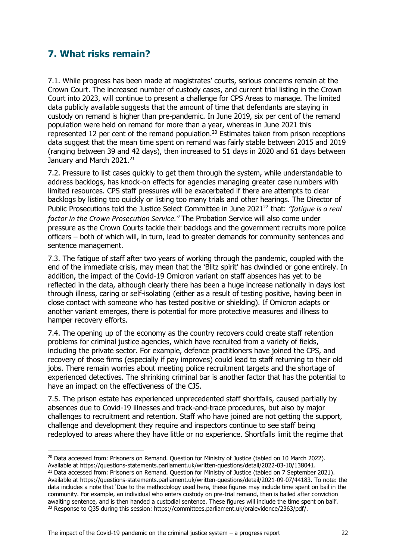# <span id="page-21-0"></span>**7. What risks remain?**

7.1. While progress has been made at magistrates' courts, serious concerns remain at the Crown Court. The increased number of custody cases, and current trial listing in the Crown Court into 2023, will continue to present a challenge for CPS Areas to manage. The limited data publicly available suggests that the amount of time that defendants are staying in custody on remand is higher than pre-pandemic. In June 2019, six per cent of the remand population were held on remand for more than a year, whereas in June 2021 this represented 12 per cent of the remand population.<sup>20</sup> Estimates taken from prison receptions data suggest that the mean time spent on remand was fairly stable between 2015 and 2019 (ranging between 39 and 42 days), then increased to 51 days in 2020 and 61 days between January and March 2021.<sup>21</sup>

7.2. Pressure to list cases quickly to get them through the system, while understandable to address backlogs, has knock-on effects for agencies managing greater case numbers with limited resources. CPS staff pressures will be exacerbated if there are attempts to clear backlogs by listing too quickly or listing too many trials and other hearings. The Director of Public Prosecutions told the Justice Select Committee in June 2021<sup>22</sup> that: "fatigue is a real *factor in the Crown Prosecution Service."* The Probation Service will also come under pressure as the Crown Courts tackle their backlogs and the government recruits more police officers – both of which will, in turn, lead to greater demands for community sentences and sentence management.

7.3. The fatigue of staff after two years of working through the pandemic, coupled with the end of the immediate crisis, may mean that the 'Blitz spirit' has dwindled or gone entirely. In addition, the impact of the Covid-19 Omicron variant on staff absences has yet to be reflected in the data, although clearly there has been a huge increase nationally in days lost through illness, caring or self-isolating (either as a result of testing positive, having been in close contact with someone who has tested positive or shielding). If Omicron adapts or another variant emerges, there is potential for more protective measures and illness to hamper recovery efforts.

7.4. The opening up of the economy as the country recovers could create staff retention problems for criminal justice agencies, which have recruited from a variety of fields, including the private sector. For example, defence practitioners have joined the CPS, and recovery of those firms (especially if pay improves) could lead to staff returning to their old jobs. There remain worries about meeting police recruitment targets and the shortage of experienced detectives. The shrinking criminal bar is another factor that has the potential to have an impact on the effectiveness of the CJS.

7.5. The prison estate has experienced unprecedented staff shortfalls, caused partially by absences due to Covid-19 illnesses and track-and-trace procedures, but also by major challenges to recruitment and retention. Staff who have joined are not getting the support, challenge and development they require and inspectors continue to see staff being redeployed to areas where they have little or no experience. Shortfalls limit the regime that

<sup>&</sup>lt;sup>20</sup> Data accessed from: Prisoners on Remand. Question for Ministry of Justice (tabled on 10 March 2022).

Available at https://questions-statements.parliament.uk/written-questions/detail/2022-03-10/138041.

<sup>&</sup>lt;sup>21</sup> Data accessed from: Prisoners on Remand. Question for Ministry of Justice (tabled on 7 September 2021). Available at https://questions-statements.parliament.uk/written-questions/detail/2021-09-07/44183. To note: the data includes a note that 'Due to the methodology used here, these figures may include time spent on bail in the community. For example, an individual who enters custody on pre-trial remand, then is bailed after conviction awaiting sentence, and is then handed a custodial sentence. These figures will include the time spent on bail'. <sup>22</sup> Response to Q35 during this session: https://committees.parliament.uk/oralevidence/2363/pdf/.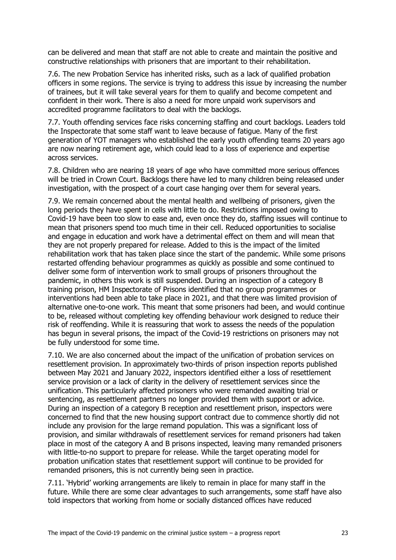can be delivered and mean that staff are not able to create and maintain the positive and constructive relationships with prisoners that are important to their rehabilitation.

7.6. The new Probation Service has inherited risks, such as a lack of qualified probation officers in some regions. The service is trying to address this issue by increasing the number of trainees, but it will take several years for them to qualify and become competent and confident in their work. There is also a need for more unpaid work supervisors and accredited programme facilitators to deal with the backlogs.

7.7. Youth offending services face risks concerning staffing and court backlogs. Leaders told the Inspectorate that some staff want to leave because of fatigue. Many of the first generation of YOT managers who established the early youth offending teams 20 years ago are now nearing retirement age, which could lead to a loss of experience and expertise across services.

7.8. Children who are nearing 18 years of age who have committed more serious offences will be tried in Crown Court. Backlogs there have led to many children being released under investigation, with the prospect of a court case hanging over them for several years.

7.9. We remain concerned about the mental health and wellbeing of prisoners, given the long periods they have spent in cells with little to do. Restrictions imposed owing to Covid-19 have been too slow to ease and, even once they do, staffing issues will continue to mean that prisoners spend too much time in their cell. Reduced opportunities to socialise and engage in education and work have a detrimental effect on them and will mean that they are not properly prepared for release. Added to this is the impact of the limited rehabilitation work that has taken place since the start of the pandemic. While some prisons restarted offending behaviour programmes as quickly as possible and some continued to deliver some form of intervention work to small groups of prisoners throughout the pandemic, in others this work is still suspended. During an inspection of a category B training prison, HM Inspectorate of Prisons identified that no group programmes or interventions had been able to take place in 2021, and that there was limited provision of alternative one-to-one work. This meant that some prisoners had been, and would continue to be, released without completing key offending behaviour work designed to reduce their risk of reoffending. While it is reassuring that work to assess the needs of the population has begun in several prisons, the impact of the Covid-19 restrictions on prisoners may not be fully understood for some time.

7.10. We are also concerned about the impact of the unification of probation services on resettlement provision. In approximately two-thirds of prison inspection reports published between May 2021 and January 2022, inspectors identified either a loss of resettlement service provision or a lack of clarity in the delivery of resettlement services since the unification. This particularly affected prisoners who were remanded awaiting trial or sentencing, as resettlement partners no longer provided them with support or advice. During an inspection of a category B reception and resettlement prison, inspectors were concerned to find that the new housing support contract due to commence shortly did not include any provision for the large remand population. This was a significant loss of provision, and similar withdrawals of resettlement services for remand prisoners had taken place in most of the category A and B prisons inspected, leaving many remanded prisoners with little-to-no support to prepare for release. While the target operating model for probation unification states that resettlement support will continue to be provided for remanded prisoners, this is not currently being seen in practice.

7.11. 'Hybrid' working arrangements are likely to remain in place for many staff in the future. While there are some clear advantages to such arrangements, some staff have also told inspectors that working from home or socially distanced offices have reduced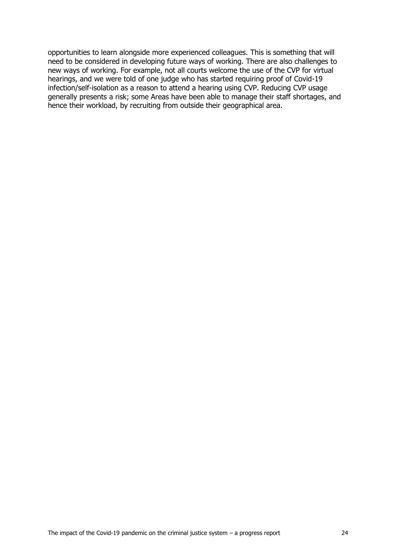opportunities to learn alongside more experienced colleagues. This is something that will need to be considered in developing future ways of working. There are also challenges to new ways of working. For example, not all courts welcome the use of the CVP for virtual hearings, and we were told of one judge who has started requiring proof of Covid-19 infection/self-isolation as a reason to attend a hearing using CVP. Reducing CVP usage generally presents a risk; some Areas have been able to manage their staff shortages, and hence their workload, by recruiting from outside their geographical area.